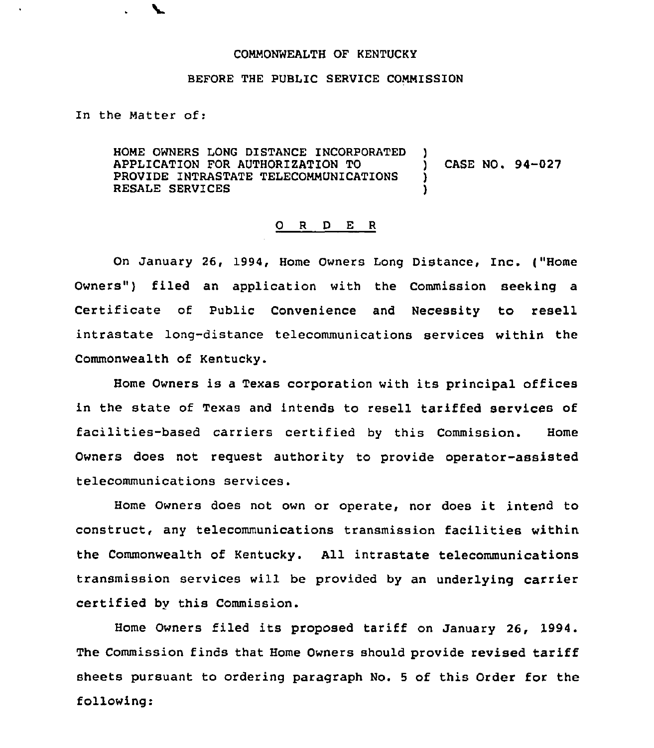## COMMONWEALTH OF KENTUCKY

## BEFORE THE PUBLIC SERVICE COMMISSION

In the Matter of:

HOME OWNERS LONG DISTANCE INCORPORATED ) APPLICATION FOR AUTHORIZATION TO  $\qquad$  ) CASE NO. 94-027<br>PROVIDE INTRASTATE TELECOMMUNICATIONS PROVIDE INTRASTATE TELECOMMUNICATIONS RESALE SERVICES

## 0 R <sup>D</sup> E <sup>R</sup>

On January 26, 1994, Home Owners Long Distance, Inc. ("Home Owners") filed an application with the Commission seeking a Certificate of Public Convenience and Necessity to resell intrastate long-distance telecommunications services within the Commonwealth of Kentucky.

Home Owners is <sup>a</sup> Texas corporation with its principal offices in the state of Texas and intends to resell tariffed services of facilities-based carriers certified by this Commission. Home Owners does not request authority to provide operator-assisted telecommunications services.

Home Owners does not own or operate, nor does it intend to construct, any telecommunications transmission facilities within the Commonwealth of Kentucky. All intrastate telecommunications transmission services will be provided by an underlying carrier certified by this Commission.

Home Owners filed its proposed tariff on January 26, 1994 The Commission finds that Home Owners should provide revised tariff sheets pursuant to ordering paragraph No. 5 of this Order for the following: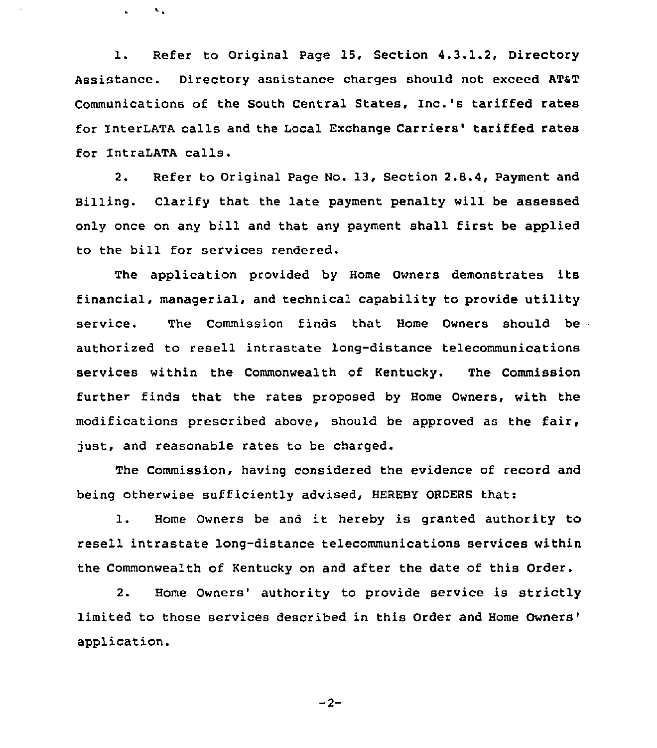1. Refer to Original Page 15, Section 4.3.1.2, Directory Assistance. Directory assistance charges should not exceed AT&T Communications of the South Central States, Inc.'s tariffed rates for InterLATA calls and the Local Exchange Carriers' tariffed rates for lntraLATA calls.

 $\mathbf{v}_{\infty}$ 

2. Refer to Original Page No. 13, Section 2.8.4, Payment and Billing. Clarify that the late payment penalty will be assessed only once on any bill and that any payment shall first be applied to the bill for services rendered.

The application provided by Home Owners demonstrates its financial, managerial, and technical capability to provide utility service. The Commission finds that Home Owners should be authorized to resell intrastate long-distance telecommunications services within the Commonwealth of Kentucky. The Commission further finds that the rates proposed by Home Owners, with the modifications prescribed above, should be approved as the fair, just, and reasonable rates to be charged.

The Commission, having considered the evidence of record and being otherwise sufficiently advised, HEREBY ORDERS that:

1. Home Owners be and it hereby is granted authority to resell intrastate long-distance telecommunications services within the Commonwealth of Kentucky on and after the date of this Order.

2. Home Owners' authority to provide service is strictly limited to those services described in this Order and Home application.

 $-2-$